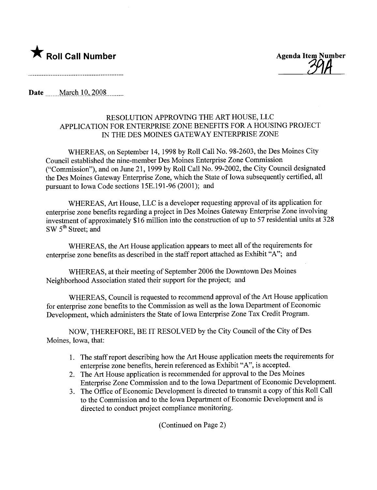

**\*** Roll Call Number Agenda Item Number Agenda Item Number

Date March 10, 2008

## RESOLUTION APPROVING THE ART HOUSE, LLC APPLICATION FOR ENTERPRISE ZONE BENEFITS FOR A HOUSING PROJECT IN THE DES MOINES GATEWAY ENTERPRISE ZONE

WHEREAS, on September 14, 1998 by Roll Call No. 98-2603, the Des Moines City Council established the nine-member Des Moines Enterprise Zone Commission ("Commission"), and on June 21, 1999 by Roll Call No. 99-2002, the City Council designated the Des Moines Gateway Enterprise Zone, which the State of Iowa subsequently certified, all pursuant to Iowa Code sections 15E.191-96 (2001); and

WHEREAS, Art House, LLC is a developer requesting approval of its application for enterprise zone benefits regarding a project in Des Moines Gateway Enterprise Zone involving investment of approximately \$16 milion into the construction of up to 57 residential units at 328  $SW 5<sup>th</sup> Street; and$ 

WHEREAS, the Art House application appears to meet all of the requirements for enterprise zone benefits as described in the staff report attached as Exhibit "A"; and

WHEREAS, at their meeting of September 2006 the Downtown Des Moines Neighborhood Association stated their support for the project; and

WHEREAS, Council is requested to recommend approval of the Art House application for enterprise zone benefits to the Commission as well as the Iowa Deparment of Economic Development, which administers the State of Iowa Enterprise Zone Tax Credit Program.

NOW, THEREFORE, BE IT RESOLVED by the City Council of the City of Des Moines, Iowa, that:

- 1. The staff report describing how the Art House application meets the requirements for enterprise zone benefits, herein referenced as Exhibit "A", is accepted.
- 2. The Art House application is recommended for approval to the Des Moines Enterprise Zone Commission and to the Iowa Department of Economic Development.
- 3. The Office of Economic Development is directed to transmit a copy of this Roll Call to the Commission and to the Iowa Deparment of Economic Development and is directed to conduct project compliance monitoring.

(Continued on Page 2)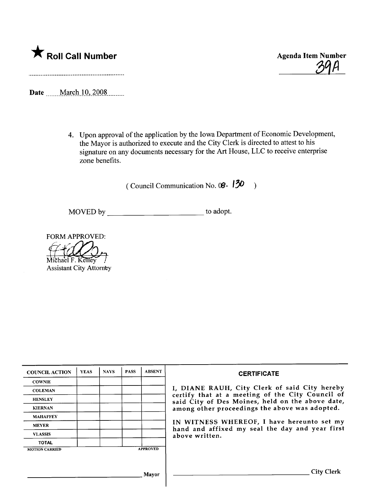

<u>39A</u>

Date \_\_\_\_\_March 10, 2008 \_\_\_\_\_\_

4. Upon approval of the application by the Iowa Department of Economic Development, the Mayor is authorized to execute and the City Clerk is directed to attest to his signature on any documents necessary for the Art House, LLC to receive enterprise zone benefits.

(Council Communication No.  $0 \mathcal{C} - 130$ )

MOVED by to adopt.

FORM APPROVED:

Michael F. Kelley **Assistant City Attorney** 

| <b>COUNCIL ACTION</b> | <b>YEAS</b> | <b>NAYS</b> | <b>PASS</b> | <b>ABSENT</b>   | <b>CERTIFICATE</b>                                                                                              |  |  |  |  |
|-----------------------|-------------|-------------|-------------|-----------------|-----------------------------------------------------------------------------------------------------------------|--|--|--|--|
| <b>COWNIE</b>         |             |             |             |                 |                                                                                                                 |  |  |  |  |
| <b>COLEMAN</b>        |             |             |             |                 | I, DIANE RAUH, City Clerk of said City hereby<br>certify that at a meeting of the City Council of               |  |  |  |  |
| <b>HENSLEY</b>        |             |             |             |                 | said City of Des Moines, held on the above date,                                                                |  |  |  |  |
| <b>KIERNAN</b>        |             |             |             |                 | among other proceedings the above was adopted.                                                                  |  |  |  |  |
| <b>MAHAFFEY</b>       |             |             |             |                 |                                                                                                                 |  |  |  |  |
| <b>MEYER</b>          |             |             |             |                 | IN WITNESS WHEREOF, I have hereunto set my<br>hand and affixed my seal the day and year first<br>above written. |  |  |  |  |
| <b>VLASSIS</b>        |             |             |             |                 |                                                                                                                 |  |  |  |  |
| <b>TOTAL</b>          |             |             |             |                 |                                                                                                                 |  |  |  |  |
| <b>MOTION CARRIED</b> |             |             |             | <b>APPROVED</b> |                                                                                                                 |  |  |  |  |
|                       |             |             |             |                 |                                                                                                                 |  |  |  |  |
|                       |             |             |             | Mayor           | <b>City Clerk</b>                                                                                               |  |  |  |  |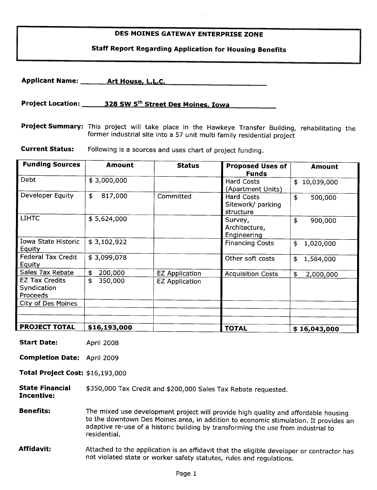### DES MOINES GATEWAY ENTERPRISE ZONE

## Staff Report Regarding Application for Housing Benefits

Applicant Name: \_\_\_\_\_\_\_ Art House, L.L.C.

Project Location: 328 SW 5<sup>th</sup> Street Des Moines, Iowa

Project Summary: This project will take place in the Hawkeye Transfer Building, rehabilitating the former industrial site into a 57 unit multi family residential project

**Current Status:** Following is a sources and uses chart of project funding.

| <b>Funding Sources</b>                           | <b>Amount</b> | <b>Status</b>         | <b>Proposed Uses of</b><br><b>Funds</b>      | Amount           |
|--------------------------------------------------|---------------|-----------------------|----------------------------------------------|------------------|
| Debt                                             | \$3,000,000   |                       | <b>Hard Costs</b><br>(Apartment Units)       | 10,039,000<br>\$ |
| Developer Equity                                 | \$<br>817,000 | Committed             | Hard Costs<br>Sitework/ parking<br>structure | \$<br>500,000    |
| <b>LIHTC</b>                                     | \$5,624,000   |                       | Survey,<br>Architecture,<br>Engineering      | \$<br>900,000    |
| Iowa State Historic<br><b>Equity</b>             | \$3,102,922   |                       | <b>Financing Costs</b>                       | \$<br>1,020,000  |
| <b>Federal Tax Credit</b><br>Equity              | \$3,099,078   |                       | Other soft costs                             | \$<br>1,584,000  |
| Sales Tax Rebate                                 | \$<br>200,000 | <b>EZ Application</b> | <b>Acquisition Costs</b>                     | \$<br>2,000,000  |
| <b>EZ Tax Credits</b><br>Syndication<br>Proceeds | \$<br>350,000 | <b>EZ Application</b> |                                              |                  |
| City of Des Moines                               |               |                       |                                              |                  |
|                                                  |               |                       |                                              |                  |
|                                                  |               |                       |                                              |                  |
| <b>PROJECT TOTAL</b>                             | \$16,193,000  |                       | <b>TOTAL</b>                                 | \$16,043,000     |

- Start Date: April 2008
- Completion Date: April 2009
- Total Project Cost: \$16,193,000

State Financial Incentive: \$350,000 Tax Credit and \$200,000 Sales Tax Rebate requested.

**Benefits:** The mixed use development project will provide high quality and affordable housing to the downtown Des Moines area, in addition to economic stimulation. It provides an adaptive re-use of a historic building by transforming the use from industrial to residential.

Affidavit: Attached to the application is an affidavit that the eligible developer or contractor has not violated state or worker safety statutes, rules and regulations.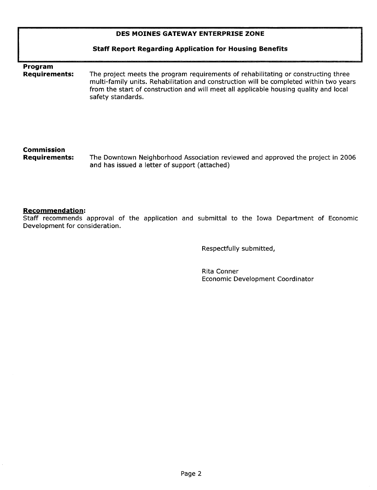### DES MOINES GATEWAY ENTERPRISE ZONE

#### Staff Report Regarding Application for Housing Benefits

# Program<br>Requirements:

The project meets the program requirements of rehabilitating or constructing three multi-family units. Rehabilitation and construction will be completed within two years from the start of construction and will meet all applicable housing quality and local safety standards.

# Commission

The Downtown Neighborhood Association reviewed and approved the project in 2006 and has issued a letter of support (attached)

#### Recommendation:

Staff recommends approval of the application and submittal to the Iowa Department of Economic Development for consideration.

Respectfully submitted,

Rita Conner Economic Development Coordinator